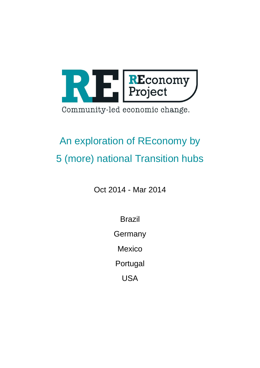

# An exploration of REconomy by 5 (more) national Transition hubs

Oct 2014 - Mar 2014

Brazil

**Germany** 

**Mexico** 

Portugal

USA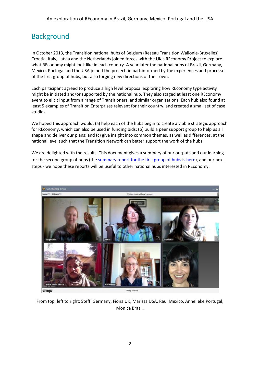### **Background**

In October 2013, the Transition national hubs of Belgium (Reséau Transition Wallonie-Bruxelles), Croatia, Italy, Latvia and the Netherlands joined forces with the UK's REconomy Project to explore what REconomy might look like in each country. A year later the national hubs of Brazil, Germany, Mexico, Portugal and the USA joined the project, in part informed by the experiences and processes of the first group of hubs, but also forging new directions of their own.

Each participant agreed to produce a high level proposal exploring how REconomy type activity might be initiated and/or supported by the national hub. They also staged at least one REconomy event to elicit input from a range of Transitioners, and similar organisations. Each hub also found at least 5 examples of Transition Enterprises relevant for their country, and created a small set of case studies.

We hoped this approach would: (a) help each of the hubs begin to create a viable strategic approach for REconomy, which can also be used in funding bids; (b) build a peer support group to help us all shape and deliver our plans; and (c) give insight into common themes, as well as differences, at the national level such that the Transition Network can better support the work of the hubs.

We are delighted with the results. This document gives a summary of our outputs and our learning for the second group of hubs (th[e summary report for the first group of hubs is here\)](http://www.reconomy.org/wp-content/uploads/2014/07/REconomy-hubs-summary-report.pdf), and our next steps - we hope these reports will be useful to other national hubs interested in REconomy.



From top, left to right: Steffi Germany, Fiona UK, Marissa USA, Raul Mexico, Annelieke Portugal, Monica Brazil.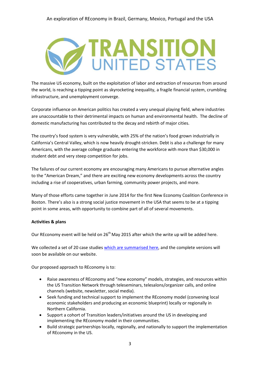

The massive US economy, built on the exploitation of labor and extraction of resources from around the world, is reaching a tipping point as skyrocketing inequality, a fragile financial system, crumbling infrastructure, and unemployment converge.

Corporate influence on American politics has created a very unequal playing field, where industries are unaccountable to their detrimental impacts on human and environmental health. The decline of domestic manufacturing has contributed to the decay and rebirth of major cities.

The country's food system is very vulnerable, with 25% of the nation's food grown industrially in California's Central Valley, which is now heavily drought-stricken. Debt is also a challenge for many Americans, with the average college graduate entering the workforce with more than \$30,000 in student debt and very steep competition for jobs.

The failures of our current economy are encouraging many Americans to pursue alternative angles to the "American Dream," and there are exciting new economy developments across the country including a rise of cooperatives, urban farming, community power projects, and more.

Many of those efforts came together in June 2014 for the first New Economy Coalition Conference in Boston. There's also is a strong social justice movement in the USA that seems to be at a tipping point in some areas, with opportunity to combine part of all of several movements.

#### **Activities & plans**

Our REconomy event will be held on 26<sup>th</sup> May 2015 after which the write up will be added here.

We collected a set of 20 case studies [which are summarised here,](http://www.reconomy.org/wp-content/uploads/2015/05/USA-REconomy-case-studies-draft_3.20.pdf) and the complete versions will soon be available on our website.

Our proposed approach to REconomy is to:

- Raise awareness of REconomy and "new economy" models, strategies, and resources within the US Transition Network through teleseminars, telesalons/organizer calls, and online channels (website, newsletter, social media).
- Seek funding and technical support to implement the REconomy model (convening local economic stakeholders and producing an economic blueprint) locally or regionally in Northern California.
- Support a cohort of Transition leaders/initiatives around the US in developing and implementing the REconomy model in their communities.
- Build strategic partnerships locally, regionally, and nationally to support the implementation of REconomy in the US.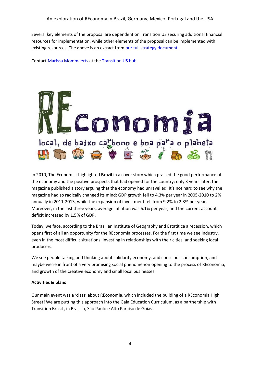Several key elements of the proposal are dependent on Transition US securing additional financial resources for implementation, while other elements of the proposal can be implemented with existing resources. The above is an extract from [our full strategy document.](http://www.reconomy.org/wp-content/uploads/2015/05/USA-Transition-US-REconomy-Strategy-3.17.pdf)

Contact [Marissa Mommaerts](mailto:marissa@transitionus.org) at th[e Transition US hub.](http://transitionus.org/)



In 2010, The Economist highlighted **Brazil** in a cover story which praised the good performance of the economy and the positive prospects that had opened for the country; only 3 years later, the magazine published a story arguing that the economy had unravelled. It's not hard to see why the magazine had so radically changed its mind: GDP growth fell to 4.3% per year in 2005-2010 to 2% annually in 2011-2013, while the expansion of investment fell from 9.2% to 2.3% per year. Moreover, in the last three years, average inflation was 6.1% per year, and the current account deficit increased by 1.5% of GDP.

Today, we face, according to the Brazilian Institute of Geography and Estatítica a recession, which opens first of all an opportunity for the REconomia processes. For the first time we see industry, even in the most difficult situations, investing in relationships with their cities, and seeking local producers.

We see people talking and thinking about solidarity economy, and conscious consumption, and maybe we're in front of a very promising social phenomenon opening to the process of REconomia, and growth of the creative economy and small local businesses.

#### **Activities & plans**

Our main event was a 'class' about REconomia, which included the building of a REconomia High Street! We are putting this approach into the Gaia Education Curriculum, as a partnership with Transition Brasil , in Brasilia, São Paulo e Alto Paraíso de Goiás.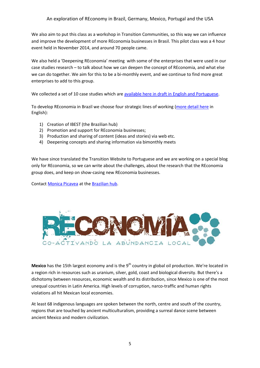We also aim to put this class as a workshop in Transition Communities, so this way we can influence and improve the development of more REconomia businesses in Brasil. This pilot class was a 4 hour event held in November 2014, and around 70 people came.

We also held a 'Deepening REconomia' meeting with some of the enterprises that were used in our case studies research – to talk about how we can deepen the concept of REconomia, and what else we can do together. We aim for this to be a bi-monthly event, and we continue to find more great enterprises to add to this group.

We collected a set of 10 case studies which are available here [in draft in English and Portuguese.](http://www.reconomy.org/wp-content/uploads/2015/05/Brazil-REconomy-Research-v2.pdf)

To develop REconomia in Brazil we choose four strategic lines of working [\(more detail here](http://www.reconomy.org/wp-content/uploads/2015/05/Brazil-Reconomy-strategies-for-Brazil.pdf) in English):

- 1) Creation of IBEST (the Brazilian hub)
- 2) Promotion and support for REconomia businesses;
- 3) Production and sharing of content (ideas and stories) via web etc.
- 4) Deepening concepts and sharing information via bimonthly meets

We have since translated the Transition Website to Portuguese and we are working on a special blog only for REconomia, so we can write about the challenges, about the research that the REconomia group does, and keep on show-casing new REconomia businesses.

Contact [Monica Picavea](mailto:monica@oficinadasustentabilidade.com.br) at th[e Brazilian hub.](http://transitionbrasil.ning.com/)



**Mexico** has the 15th largest economy and is the 9<sup>th</sup> country in global oil production. We're located in a region rich in resources such as uranium, silver, gold, coast and biological diversity. But there's a dichotomy between resources, economic wealth and its distribution, since Mexico is one of the most unequal countries in Latin America. High levels of corruption, narco-traffic and human rights violations all hit Mexican local economies.

At least 68 indigenous languages are spoken between the north, centre and south of the country, regions that are touched by ancient multiculturalism, providing a surreal dance scene between ancient Mexico and modern civilization.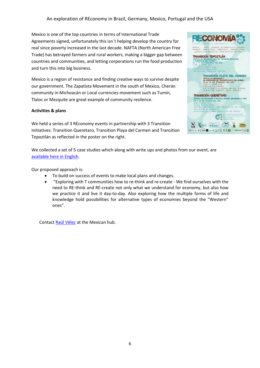Mexico is one of the top countries in terms of International Trade Agreements signed, unfortunately this isn´t helping develop the country for real since poverty increased in the last decade. NAFTA (North American Free Trade) has betrayed farmers and rural workers, making a bigger gap between countries and communities, and letting corporations run the food production and turn this into big business.

Mexico is a region of resistance and finding creative ways to survive despite our government. The Zapatista Movement in the south of Mexico, Cherán community in Michoacán or Local currencies movement such as Tumín, Tlaloc or Mezquite are great example of community resilence.

#### **Activities & plans**

We held a series of 3 REconomy events in partnership with 3 Transition Initiatives: Transition Queretaro, Transition Playa del Carmen and Transition Tepoztlán as reflected in the poster on the right.



We collected a set of 5 case studies which along with write ups and photos from our event, are [available here in English.](http://www.reconomy.org/wp-content/uploads/2015/05/Mexico-Reconomy-Project-in-Mexico-by-Rulas-de-la-Tierra.pdf)

Our proposed approach is:

- To build on success of events to make local plans and changes.
- "Exploring with T communities how to re-think and re-create We find ourselves with the need to RE-think and RE-create not only what we understand for economy, but also how we practice it and live it day-to-day. Also exploring how the multiple forms of life and knowledge hold possibilities for alternative types of economies beyond the "Western" ones".

Contact [Raúl Vélez](mailto:mexicoentransicion@gmail.com) at the Mexican hub.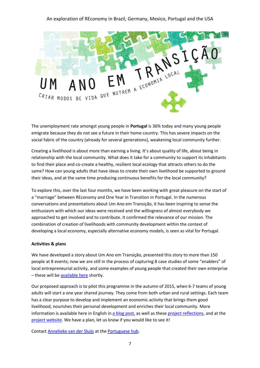

The unemployment rate amongst young people in **Portugal** is 36% today and many young people emigrate because they do not see a future in their home country. This has severe impacts on the social fabric of the country (already for several generations), weakening local community further.

Creating a livelihood is about more than earning a living. It's about quality of life, about being in relationship with the local community. What does it take for a community to support its inhabitants to find their place and co-create a healthy, resilient local ecology that attracts others to do the same? How can young adults that have ideas to create their own livelihood be supported to ground their ideas, and at the same time producing continuous benefits for the local community?

To explore this, over the last four months, we have been working with great pleasure on the start of a "marriage" between REconomy and One Year in Transition in Portugal. In the numerous conversations and presentations about Um Ano em Transição, it has been inspiring to sense the enthusiasm with which our ideas were received and the willingness of almost everybody we approached to get involved and to contribute. It confirmed the relevance of our mission. The combination of creation of livelihoods with community development within the context of developing a local economy, especially alternative economy models, is seen as vital for Portugal.

#### **Activities & plans**

We have developed a story about Um Ano em Transição, presented this story to more than 150 people at 8 events; now we are still in the process of capturing 8 case studies of some "enablers" of local entrepreneurial activity, and some examples of young people that created their own enterprise - these will be [available here](http://um-ano.transicaoportugal.net/) shortly.

Our proposed approach is to pilot this programme in the autumn of 2015, when 6-7 teams of young adults will start a one year shared journey. They come from both urban and rural settings. Each team has a clear purpose to develop and implement an economic activity that brings them good livelihood, nourishes their personal development and enriches their local community. More information is available here in English i[n a blog post,](http://www.reconomy.org/wp-content/uploads/2015/05/Portugal-blog-Um-Ano-em-Transição-v2.pdf) as well as these [project reflections,](http://www.reconomy.org/wp-content/uploads/2015/05/Portugal-strategy-and-seed-funding-TN-REconomy-v2.docx) and at the [project website.](http://um-ano.transicaoportugal.net/) We have a plan, let us know if you would like to see it!

Contact [Annelieke van der Sluijs](mailto:annelieke.van.der.sluijs@gmail.com) at th[e Portuguese hub.](http://transicaoportugal.net/)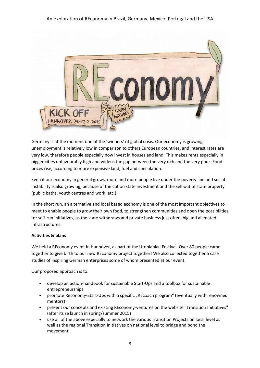

Germany is at the moment one of the 'winners' of global crisis. Our economy is growing, unemployment is relatively low in comparison to others European countries, and interest rates are very low, therefore people especially now invest in houses and land. This makes rents especially in bigger cities unfavourably high and widens the gap between the very rich and the very poor. Food prices rise, according to more expensive land, fuel and speculation.

Even if our economy in general grows, more and more people live under the poverty line and social instability is also growing, because of the cut on state investment and the sell-out of state property (public baths, youth centres and work, etc.).

In the short run, an alternative and local based economy is one of the most important objectives to meet to enable people to grow their own food, to strengthen communities and open the possibilities for self-run initiatives, as the state withdraws and private business just offers big and alienated infrastructures.

#### **Activities & plans**

We held a REconomy event in Hannover, as part of the Utopianlae Festival. Over 80 people came together to give birth to our new REconomy project together! We also collected together 5 case studies of inspiring German enterprises some of whom presented at our event.

Our proposed approach is to:

- develop an action-handbook for sustainable Start-Ups and a toolbox for sustainable entrepreneurships
- promote Reconomy-Start-Ups with a specific "REcoach program" (eventually with renowned mentors)
- present our concepts and existing REconomy-ventures on the website "Transition Initiatives" (after its re launch in spring/summer 2015)
- use all of the above especially to network the various Transition Projects on local level as well as the regional Transition Initiatives on national level to bridge and bond the movement.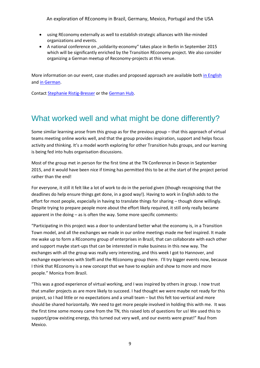- using REconomy externally as well to establish strategic alliances with like-minded organizations and events.
- A national conference on "solidarity-economy" takes place in Berlin in September 2015 which will be significantly enriched by the Transition REconomy project. We also consider organizing a German meetup of Reconomy-projects at this venue.

More information on our event, case studies and proposed approach are available bot[h in English](http://www.reconomy.org/wp-content/uploads/2015/05/German-Strategy-doc-in-English-REconomy-Abschlussbericht-Germany.pdf) and [in German.](http://www.reconomy.org/wp-content/uploads/2015/05/German-Strategy-doc-in-German-REconomy-Abschlussbericht-Germany.pdf)

Contact [Stephanie Ristig-Bresser](mailto:stephanie.ristig-bresser@ars-scribendi.com) or the [German Hub.](http://www.transition-initiativen.de/)

## What worked well and what might be done differently?

Some similar learning arose from this group as for the previous group – that this approach of virtual teams meeting online works well, and that the group provides inspiration, support and helps focus activity and thinking. It's a model worth exploring for other Transition hubs groups, and our learning is being fed into hubs organisation discussions.

Most of the group met in person for the first time at the TN Conference in Devon in September 2015, and it would have been nice if timing has permitted this to be at the start of the project period rather than the end!

For everyone, it still it felt like a lot of work to do in the period given (though recognising that the deadlines do help ensure things get done, in a good way!). Having to work in English adds to the effort for most people, especially in having to translate things for sharing – though done willingly. Despite trying to prepare people more about the effort likely required, it still only really became apparent in the doing – as is often the way. Some more specific comments:

"Participating in this project was a door to understand better what the economy is, in a Transition Town model, and all the exchanges we made in our online meetings made me feel inspired. It made me wake up to form a REconomy group of enterprises in Brazil, that can collaborate with each other and support maybe start-ups that can be interested in make business in this new way. The exchanges with all the group was really very interesting, and this week I got to Hannover, and exchange experiences with Steffi and the REconomy group there. I'll try bigger events now, because I think that REconomy is a new concept that we have to explain and show to more and more people." Monica from Brazil.

"This was a good experience of virtual working, and I was inspired by others in group. I now trust that smaller projects as are more likely to succeed. I had thought we were maybe not ready for this project, so I had little or no expectations and a small team – but this felt too vertical and more should be shared horizontally. We need to get more people involved in holding this with me. It was the first time some money came from the TN, this raised lots of questions for us! We used this to support/grow existing energy, this turned out very well, and our events were great!" Raul from Mexico.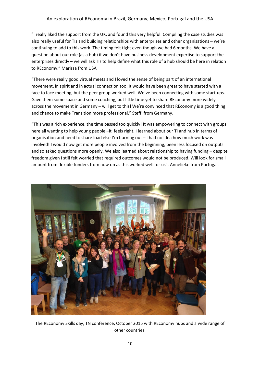"I really liked the support from the UK, and found this very helpful. Compiling the case studies was also really useful for TIs and building relationships with enterprises and other organisations – we're continuing to add to this work. The timing felt tight even though we had 6 months. We have a question about our role (as a hub) if we don't have business development expertise to support the enterprises directly – we will ask TIs to help define what this role of a hub should be here in relation to REconomy." Marissa from USA

"There were really good virtual meets and I loved the sense of being part of an international movement, in spirit and in actual connection too. It would have been great to have started with a face to face meeting, but the peer group worked well. We've been connecting with some start-ups. Gave them some space and some coaching, but little time yet to share REconomy more widely across the movement in Germany – will get to this! We're convinced that REconomy is a good thing and chance to make Transition more professional." Steffi from Germany.

"This was a rich experience, the time passed too quickly! It was empowering to connect with groups here all wanting to help young people –it feels right. I learned about our TI and hub in terms of organisation and need to share load else I'm burning out – I had no idea how much work was involved! I would now get more people involved from the beginning, been less focused on outputs and so asked questions more openly. We also learned about relationship to having funding – despite freedom given I still felt worried that required outcomes would not be produced. Will look for small amount from flexible funders from now on as this worked well for us". Annelieke from Portugal.



The REconomy Skills day, TN conference, October 2015 with REconomy hubs and a wide range of other countries.